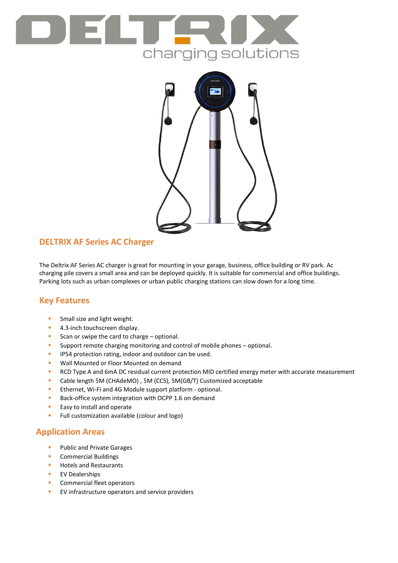



## **DELTRIX AF Series AC Charger**

The Deltrix AF Series AC charger is great for mounting in your garage, business, office building or RV park. Ac charging pile covers a small area and can be deployed quickly. It is suitable for commercial and office buildings. Parking lots such as urban complexes or urban public charging stations can slow down for a long time.

### **Key Features**

- **Small size and light weight.**
- **4.3-inch touchscreen display.**
- Scan or swipe the card to charge  $-$  optional.
- **Support remote charging monitoring and control of mobile phones optional.**
- **IP54 protection rating, indoor and outdoor can be used.**
- **Wall Mounted or Floor Mounted on demand**
- **RCD Type A and 6mA DC residual current protection MID certified energy meter with accurate measurement**
- Cable length 5M (CHAdeMO) , 5M (CCS), 5M(GB/T) Customized acceptable
- **Ethernet, Wi-Fi and 4G Module support platform optional.**
- Back-office system integration with OCPP 1.6 on demand
- **Easy to install and operate**
- **Full customization available (colour and logo)**

### **Application Areas**

- **Public and Private Garages**
- **Commercial Buildings**
- **Hotels and Restaurants**
- **EV Dealerships**
- **Commercial fleet operators**
- **EV** infrastructure operators and service providers